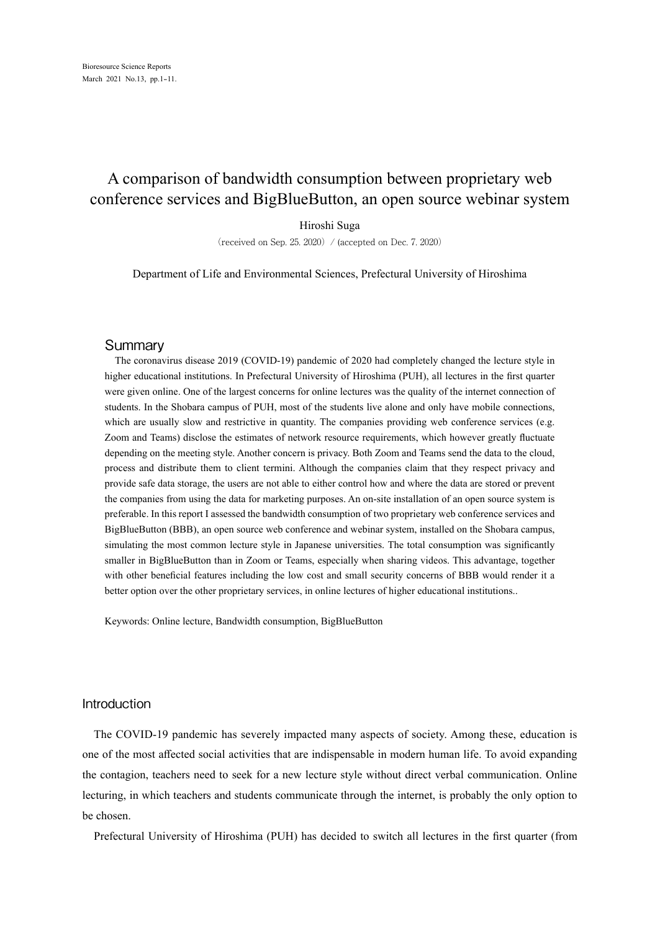# A comparison of bandwidth consumption between proprietary web conference services and BigBlueButton, an open source webinar system

## Hiroshi Suga

(received on Sep. 25, 2020) / (accepted on Dec. 7, 2020)

Department of Life and Environmental Sciences, Prefectural University of Hiroshima

#### Summary

The coronavirus disease 2019 (COVID-19) pandemic of 2020 had completely changed the lecture style in higher educational institutions. In Prefectural University of Hiroshima (PUH), all lectures in the first quarter were given online. One of the largest concerns for online lectures was the quality of the internet connection of students. In the Shobara campus of PUH, most of the students live alone and only have mobile connections, which are usually slow and restrictive in quantity. The companies providing web conference services (e.g. Zoom and Teams) disclose the estimates of network resource requirements, which however greatly fluctuate depending on the meeting style. Another concern is privacy. Both Zoom and Teams send the data to the cloud, process and distribute them to client termini. Although the companies claim that they respect privacy and provide safe data storage, the users are not able to either control how and where the data are stored or prevent the companies from using the data for marketing purposes. An on-site installation of an open source system is preferable. In this report I assessed the bandwidth consumption of two proprietary web conference services and BigBlueButton (BBB), an open source web conference and webinar system, installed on the Shobara campus, simulating the most common lecture style in Japanese universities. The total consumption was significantly smaller in BigBlueButton than in Zoom or Teams, especially when sharing videos. This advantage, together with other beneficial features including the low cost and small security concerns of BBB would render it a better option over the other proprietary services, in online lectures of higher educational institutions..

Keywords: Online lecture, Bandwidth consumption, BigBlueButton

# Introduction

The COVID-19 pandemic has severely impacted many aspects of society. Among these, education is one of the most affected social activities that are indispensable in modern human life. To avoid expanding the contagion, teachers need to seek for a new lecture style without direct verbal communication. Online lecturing, in which teachers and students communicate through the internet, is probably the only option to be chosen.

Prefectural University of Hiroshima (PUH) has decided to switch all lectures in the first quarter (from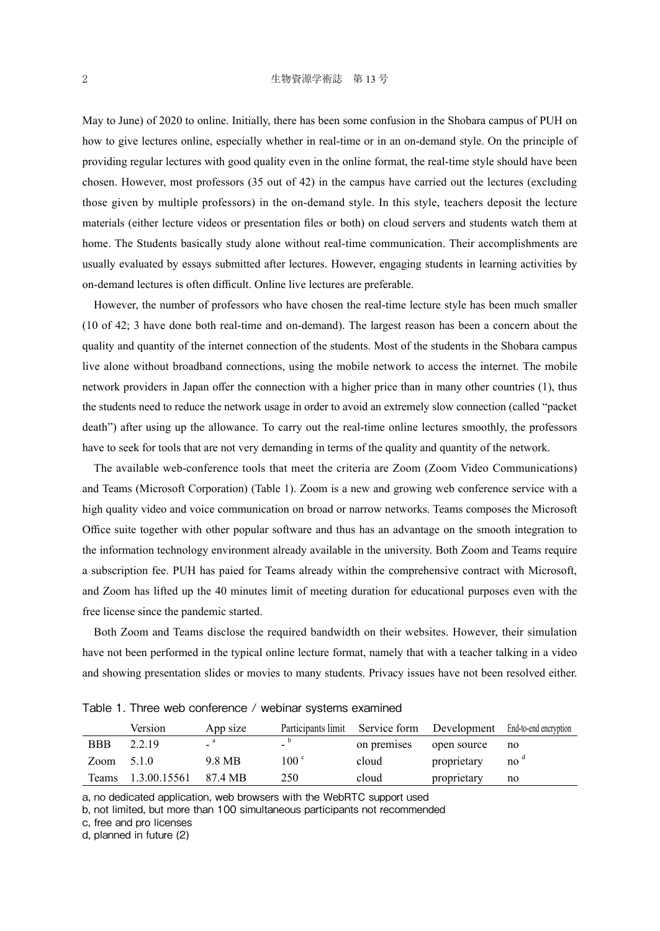May to June) of 2020 to online. Initially, there has been some confusion in the Shobara campus of PUH on how to give lectures online, especially whether in real-time or in an on-demand style. On the principle of providing regular lectures with good quality even in the online format, the real-time style should have been chosen. However, most professors (35 out of 42) in the campus have carried out the lectures (excluding those given by multiple professors) in the on-demand style. In this style, teachers deposit the lecture materials (either lecture videos or presentation files or both) on cloud servers and students watch them at home. The Students basically study alone without real-time communication. Their accomplishments are usually evaluated by essays submitted after lectures. However, engaging students in learning activities by on-demand lectures is often difficult. Online live lectures are preferable.

However, the number of professors who have chosen the real-time lecture style has been much smaller (10 of 42; 3 have done both real-time and on-demand). The largest reason has been a concern about the quality and quantity of the internet connection of the students. Most of the students in the Shobara campus live alone without broadband connections, using the mobile network to access the internet. The mobile network providers in Japan offer the connection with a higher price than in many other countries (1), thus the students need to reduce the network usage in order to avoid an extremely slow connection (called "packet death") after using up the allowance. To carry out the real-time online lectures smoothly, the professors have to seek for tools that are not very demanding in terms of the quality and quantity of the network.

The available web-conference tools that meet the criteria are Zoom (Zoom Video Communications) and Teams (Microsoft Corporation) (Table 1). Zoom is a new and growing web conference service with a high quality video and voice communication on broad or narrow networks. Teams composes the Microsoft Office suite together with other popular software and thus has an advantage on the smooth integration to the information technology environment already available in the university. Both Zoom and Teams require a subscription fee. PUH has paied for Teams already within the comprehensive contract with Microsoft, and Zoom has lifted up the 40 minutes limit of meeting duration for educational purposes even with the free license since the pandemic started.

Both Zoom and Teams disclose the required bandwidth on their websites. However, their simulation have not been performed in the typical online lecture format, namely that with a teacher talking in a video and showing presentation slides or movies to many students. Privacy issues have not been resolved either.

Table 1. Three web conference / webinar systems examined

|              | Version                    | App size |                  |             | Participants limit Service form Development End-to-end encryption |    |
|--------------|----------------------------|----------|------------------|-------------|-------------------------------------------------------------------|----|
| <b>BBB</b>   | 2.2.19                     |          | -                | on premises | open source                                                       | no |
| $Zoom$ 5.1.0 |                            | 9.8 MB   | 100 <sup>c</sup> | cloud       | proprietary                                                       | no |
|              | Teams 1.3.00.15561 87.4 MB |          | 250              | cloud       | proprietary                                                       | no |

a, no dedicated application, web browsers with the WebRTC support used

b, not limited, but more than 100 simultaneous participants not recommended

c, free and pro licenses

d, planned in future (2)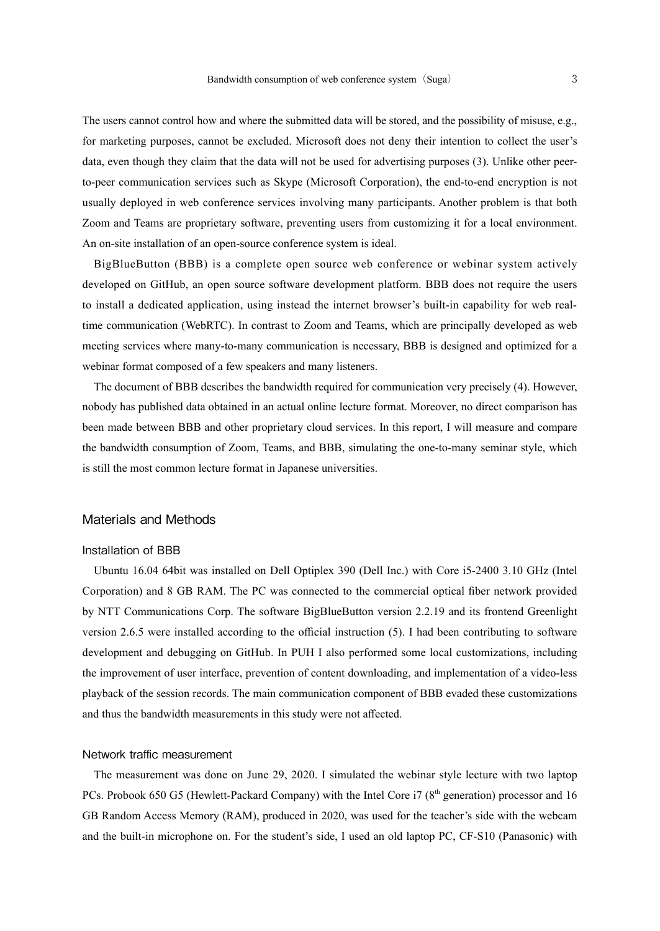The users cannot control how and where the submitted data will be stored, and the possibility of misuse, e.g., for marketing purposes, cannot be excluded. Microsoft does not deny their intention to collect the user's data, even though they claim that the data will not be used for advertising purposes (3). Unlike other peerto-peer communication services such as Skype (Microsoft Corporation), the end-to-end encryption is not usually deployed in web conference services involving many participants. Another problem is that both Zoom and Teams are proprietary software, preventing users from customizing it for a local environment. An on-site installation of an open-source conference system is ideal.

BigBlueButton (BBB) is a complete open source web conference or webinar system actively developed on GitHub, an open source software development platform. BBB does not require the users to install a dedicated application, using instead the internet browser's built-in capability for web realtime communication (WebRTC). In contrast to Zoom and Teams, which are principally developed as web meeting services where many-to-many communication is necessary, BBB is designed and optimized for a webinar format composed of a few speakers and many listeners.

The document of BBB describes the bandwidth required for communication very precisely (4). However, nobody has published data obtained in an actual online lecture format. Moreover, no direct comparison has been made between BBB and other proprietary cloud services. In this report, I will measure and compare the bandwidth consumption of Zoom, Teams, and BBB, simulating the one-to-many seminar style, which is still the most common lecture format in Japanese universities.

## Materials and Methods

## Installation of BBB

Ubuntu 16.04 64bit was installed on Dell Optiplex 390 (Dell Inc.) with Core i5-2400 3.10 GHz (Intel Corporation) and 8 GB RAM. The PC was connected to the commercial optical fiber network provided by NTT Communications Corp. The software BigBlueButton version 2.2.19 and its frontend Greenlight version 2.6.5 were installed according to the official instruction (5). I had been contributing to software development and debugging on GitHub. In PUH I also performed some local customizations, including the improvement of user interface, prevention of content downloading, and implementation of a video-less playback of the session records. The main communication component of BBB evaded these customizations and thus the bandwidth measurements in this study were not affected.

## Network traffic measurement

The measurement was done on June 29, 2020. I simulated the webinar style lecture with two laptop PCs. Probook 650 G5 (Hewlett-Packard Company) with the Intel Core i7 ( $8<sup>th</sup>$  generation) processor and 16 GB Random Access Memory (RAM), produced in 2020, was used for the teacher's side with the webcam and the built-in microphone on. For the student's side, I used an old laptop PC, CF-S10 (Panasonic) with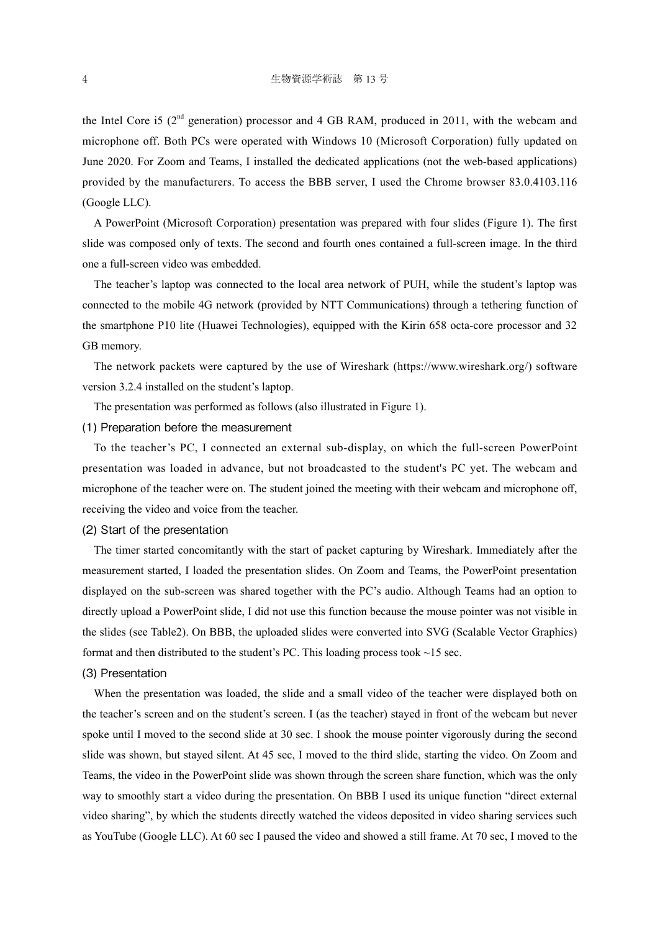the Intel Core i5 (2<sup>nd</sup> generation) processor and 4 GB RAM, produced in 2011, with the webcam and microphone off. Both PCs were operated with Windows 10 (Microsoft Corporation) fully updated on June 2020. For Zoom and Teams, I installed the dedicated applications (not the web-based applications) provided by the manufacturers. To access the BBB server, I used the Chrome browser 83.0.4103.116 (Google LLC).

A PowerPoint (Microsoft Corporation) presentation was prepared with four slides (Figure 1). The first slide was composed only of texts. The second and fourth ones contained a full-screen image. In the third one a full-screen video was embedded.

The teacher's laptop was connected to the local area network of PUH, while the student's laptop was connected to the mobile 4G network (provided by NTT Communications) through a tethering function of the smartphone P10 lite (Huawei Technologies), equipped with the Kirin 658 octa-core processor and 32 GB memory.

The network packets were captured by the use of Wireshark (https://www.wireshark.org/) software version 3.2.4 installed on the student's laptop.

The presentation was performed as follows (also illustrated in Figure 1).

#### (1) Preparation before the measurement

To the teacher's PC, I connected an external sub-display, on which the full-screen PowerPoint presentation was loaded in advance, but not broadcasted to the student's PC yet. The webcam and microphone of the teacher were on. The student joined the meeting with their webcam and microphone off, receiving the video and voice from the teacher.

## (2) Start of the presentation

The timer started concomitantly with the start of packet capturing by Wireshark. Immediately after the measurement started, I loaded the presentation slides. On Zoom and Teams, the PowerPoint presentation displayed on the sub-screen was shared together with the PC's audio. Although Teams had an option to directly upload a PowerPoint slide, I did not use this function because the mouse pointer was not visible in the slides (see Table2). On BBB, the uploaded slides were converted into SVG (Scalable Vector Graphics) format and then distributed to the student's PC. This loading process took  $\sim$ 15 sec.

#### (3) Presentation

When the presentation was loaded, the slide and a small video of the teacher were displayed both on the teacher's screen and on the student's screen. I (as the teacher) stayed in front of the webcam but never spoke until I moved to the second slide at 30 sec. I shook the mouse pointer vigorously during the second slide was shown, but stayed silent. At 45 sec, I moved to the third slide, starting the video. On Zoom and Teams, the video in the PowerPoint slide was shown through the screen share function, which was the only way to smoothly start a video during the presentation. On BBB I used its unique function "direct external video sharing", by which the students directly watched the videos deposited in video sharing services such as YouTube (Google LLC). At 60 sec I paused the video and showed a still frame. At 70 sec, I moved to the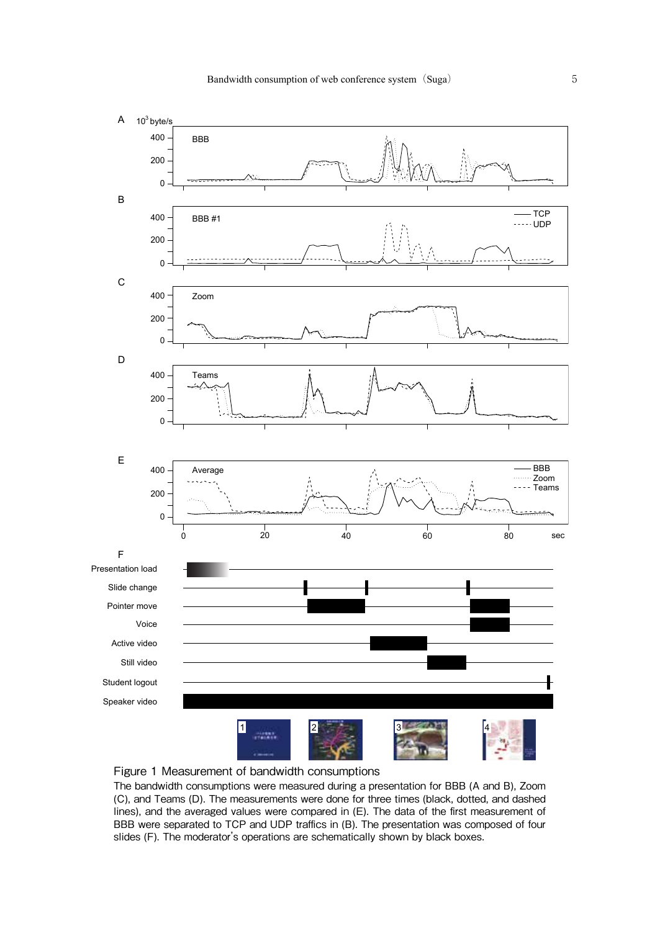



The bandwidth consumptions were measured during a presentation for BBB (A and B), Zoom (C), and Teams (D). The measurements were done for three times (black, dotted, and dashed lines), and the averaged values were compared in (E). The data of the first measurement of BBB were separated to TCP and UDP traffics in (B). The presentation was composed of four slides (F). The moderator's operations are schematically shown by black boxes.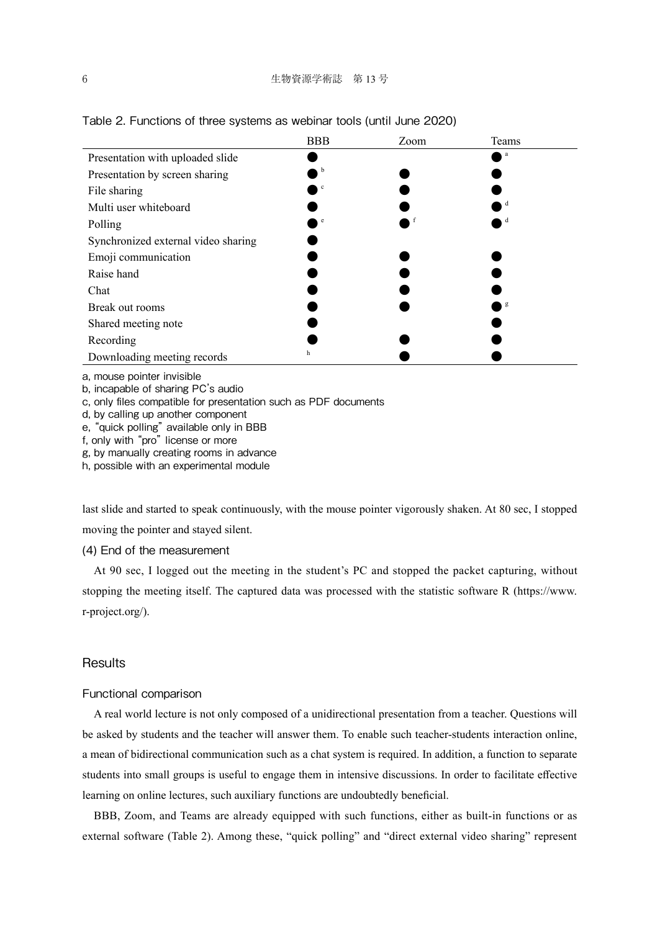|                                     | <b>BBB</b> | Zoom | Teams |
|-------------------------------------|------------|------|-------|
| Presentation with uploaded slide    |            |      | a     |
| Presentation by screen sharing      | b          |      |       |
| File sharing                        | c          |      |       |
| Multi user whiteboard               |            |      |       |
| Polling                             | e          |      |       |
| Synchronized external video sharing |            |      |       |
| Emoji communication                 |            |      |       |
| Raise hand                          |            |      |       |
| Chat                                |            |      |       |
| Break out rooms                     |            |      | g     |
| Shared meeting note                 |            |      |       |
| Recording                           |            |      |       |
| Downloading meeting records         | h          |      |       |

a, mouse pointer invisible

b, incapable of sharing PC's audio

c, only files compatible for presentation such as PDF documents

d, by calling up another component

e, "quick polling" available only in BBB

f, only with "pro" license or more

g, by manually creating rooms in advance

h, possible with an experimental module

last slide and started to speak continuously, with the mouse pointer vigorously shaken. At 80 sec, I stopped moving the pointer and stayed silent.

(4) End of the measurement

At 90 sec, I logged out the meeting in the student's PC and stopped the packet capturing, without stopping the meeting itself. The captured data was processed with the statistic software R (https://www. r-project.org/).

## **Results**

## Functional comparison

A real world lecture is not only composed of a unidirectional presentation from a teacher. Questions will be asked by students and the teacher will answer them. To enable such teacher-students interaction online, a mean of bidirectional communication such as a chat system is required. In addition, a function to separate students into small groups is useful to engage them in intensive discussions. In order to facilitate effective learning on online lectures, such auxiliary functions are undoubtedly beneficial.

BBB, Zoom, and Teams are already equipped with such functions, either as built-in functions or as external software (Table 2). Among these, "quick polling" and "direct external video sharing" represent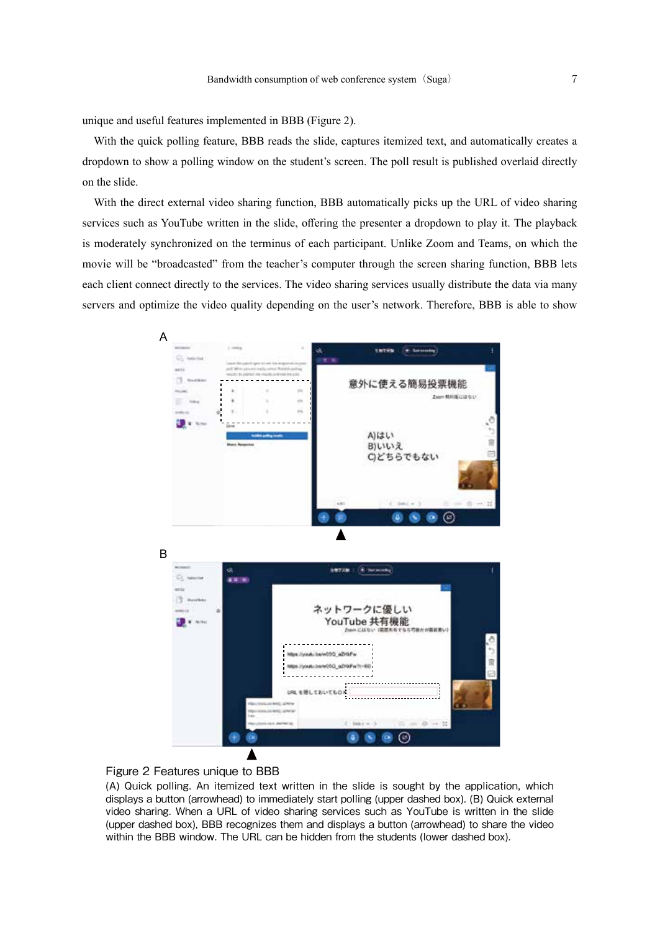unique and useful features implemented in BBB (Figure 2).

With the quick polling feature, BBB reads the slide, captures itemized text, and automatically creates a dropdown to show a polling window on the student's screen. The poll result is published overlaid directly on the slide.

With the direct external video sharing function, BBB automatically picks up the URL of video sharing services such as YouTube written in the slide, offering the presenter a dropdown to play it. The playback is moderately synchronized on the terminus of each participant. Unlike Zoom and Teams, on which the movie will be "broadcasted" from the teacher's computer through the screen sharing function, BBB lets each client connect directly to the services. The video sharing services usually distribute the data via many servers and optimize the video quality depending on the user's network. Therefore, BBB is able to show





(A) Quick polling. An itemized text written in the slide is sought by the application, which displays a button (arrowhead) to immediately start polling (upper dashed box). (B) Quick external video sharing. When a URL of video sharing services such as YouTube is written in the slide (upper dashed box), BBB recognizes them and displays a button (arrowhead) to share the video within the BBB window. The URL can be hidden from the students (lower dashed box).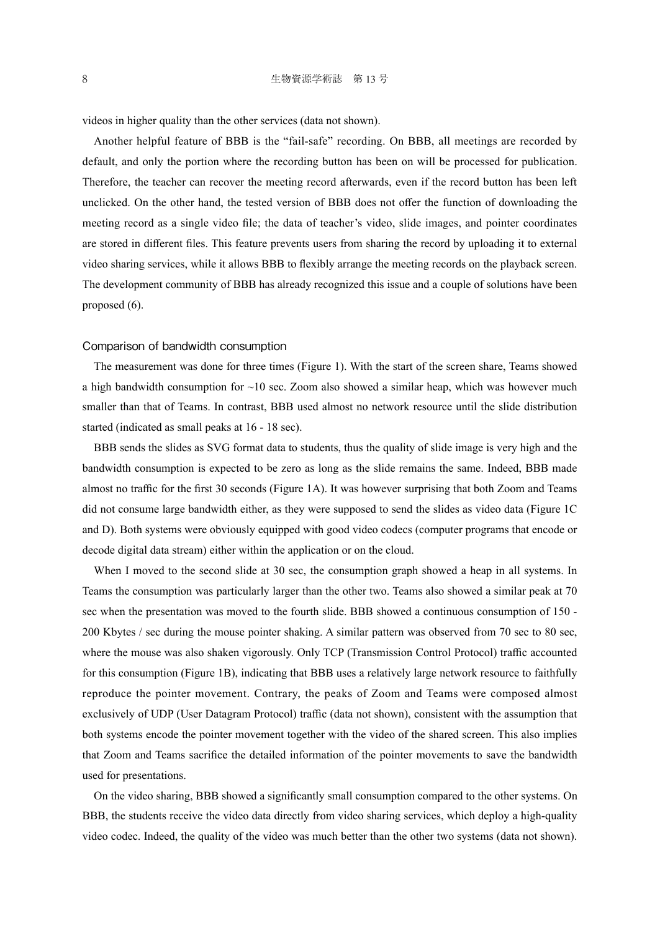videos in higher quality than the other services (data not shown).

Another helpful feature of BBB is the "fail-safe" recording. On BBB, all meetings are recorded by default, and only the portion where the recording button has been on will be processed for publication. Therefore, the teacher can recover the meeting record afterwards, even if the record button has been left unclicked. On the other hand, the tested version of BBB does not offer the function of downloading the meeting record as a single video file; the data of teacher's video, slide images, and pointer coordinates are stored in different files. This feature prevents users from sharing the record by uploading it to external video sharing services, while it allows BBB to flexibly arrange the meeting records on the playback screen. The development community of BBB has already recognized this issue and a couple of solutions have been proposed (6).

#### Comparison of bandwidth consumption

The measurement was done for three times (Figure 1). With the start of the screen share, Teams showed a high bandwidth consumption for  $\sim$ 10 sec. Zoom also showed a similar heap, which was however much smaller than that of Teams. In contrast, BBB used almost no network resource until the slide distribution started (indicated as small peaks at 16 - 18 sec).

BBB sends the slides as SVG format data to students, thus the quality of slide image is very high and the bandwidth consumption is expected to be zero as long as the slide remains the same. Indeed, BBB made almost no traffic for the first 30 seconds (Figure 1A). It was however surprising that both Zoom and Teams did not consume large bandwidth either, as they were supposed to send the slides as video data (Figure 1C and D). Both systems were obviously equipped with good video codecs (computer programs that encode or decode digital data stream) either within the application or on the cloud.

When I moved to the second slide at 30 sec, the consumption graph showed a heap in all systems. In Teams the consumption was particularly larger than the other two. Teams also showed a similar peak at 70 sec when the presentation was moved to the fourth slide. BBB showed a continuous consumption of 150 - 200 Kbytes / sec during the mouse pointer shaking. A similar pattern was observed from 70 sec to 80 sec, where the mouse was also shaken vigorously. Only TCP (Transmission Control Protocol) traffic accounted for this consumption (Figure 1B), indicating that BBB uses a relatively large network resource to faithfully reproduce the pointer movement. Contrary, the peaks of Zoom and Teams were composed almost exclusively of UDP (User Datagram Protocol) traffic (data not shown), consistent with the assumption that both systems encode the pointer movement together with the video of the shared screen. This also implies that Zoom and Teams sacrifice the detailed information of the pointer movements to save the bandwidth used for presentations.

On the video sharing, BBB showed a significantly small consumption compared to the other systems. On BBB, the students receive the video data directly from video sharing services, which deploy a high-quality video codec. Indeed, the quality of the video was much better than the other two systems (data not shown).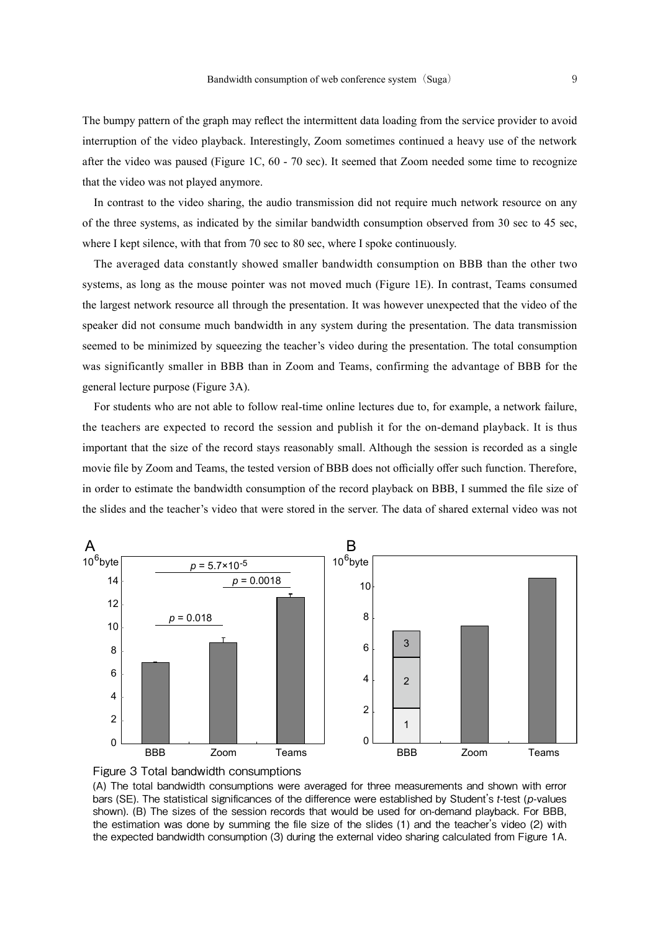The bumpy pattern of the graph may reflect the intermittent data loading from the service provider to avoid interruption of the video playback. Interestingly, Zoom sometimes continued a heavy use of the network after the video was paused (Figure 1C, 60 - 70 sec). It seemed that Zoom needed some time to recognize that the video was not played anymore.

In contrast to the video sharing, the audio transmission did not require much network resource on any of the three systems, as indicated by the similar bandwidth consumption observed from 30 sec to 45 sec, where I kept silence, with that from 70 sec to 80 sec, where I spoke continuously.

The averaged data constantly showed smaller bandwidth consumption on BBB than the other two systems, as long as the mouse pointer was not moved much (Figure 1E). In contrast, Teams consumed the largest network resource all through the presentation. It was however unexpected that the video of the speaker did not consume much bandwidth in any system during the presentation. The data transmission seemed to be minimized by squeezing the teacher's video during the presentation. The total consumption was significantly smaller in BBB than in Zoom and Teams, confirming the advantage of BBB for the general lecture purpose (Figure 3A).

For students who are not able to follow real-time online lectures due to, for example, a network failure, the teachers are expected to record the session and publish it for the on-demand playback. It is thus important that the size of the record stays reasonably small. Although the session is recorded as a single movie file by Zoom and Teams, the tested version of BBB does not officially offer such function. Therefore, in order to estimate the bandwidth consumption of the record playback on BBB, I summed the file size of the slides and the teacher's video that were stored in the server. The data of shared external video was not





(A) The total bandwidth consumptions were averaged for three measurements and shown with error bars (SE). The statistical significances of the difference were established by Student's t-test (p-values shown). (B) The sizes of the session records that would be used for on-demand playback. For BBB, the estimation was done by summing the file size of the slides (1) and the teacher's video (2) with the expected bandwidth consumption (3) during the external video sharing calculated from Figure 1A.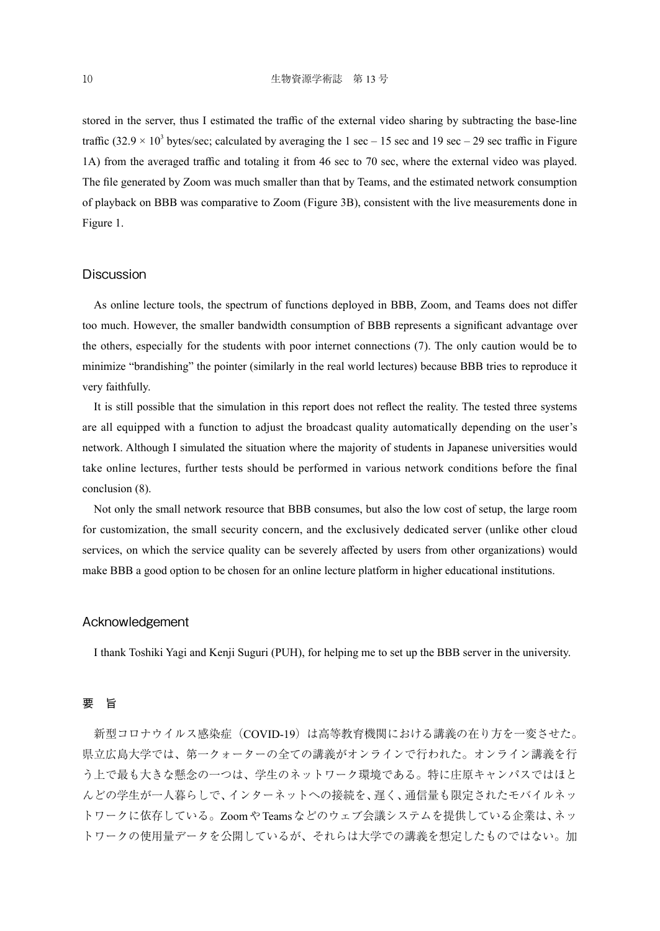stored in the server, thus I estimated the traffic of the external video sharing by subtracting the base-line traffic  $(32.9 \times 10^3$  bytes/sec; calculated by averaging the 1 sec – 15 sec and 19 sec – 29 sec traffic in Figure 1A) from the averaged traffic and totaling it from 46 sec to 70 sec, where the external video was played. The file generated by Zoom was much smaller than that by Teams, and the estimated network consumption of playback on BBB was comparative to Zoom (Figure 3B), consistent with the live measurements done in Figure 1.

## **Discussion**

As online lecture tools, the spectrum of functions deployed in BBB, Zoom, and Teams does not differ too much. However, the smaller bandwidth consumption of BBB represents a significant advantage over the others, especially for the students with poor internet connections (7). The only caution would be to minimize "brandishing" the pointer (similarly in the real world lectures) because BBB tries to reproduce it very faithfully.

It is still possible that the simulation in this report does not reflect the reality. The tested three systems are all equipped with a function to adjust the broadcast quality automatically depending on the user's network. Although I simulated the situation where the majority of students in Japanese universities would take online lectures, further tests should be performed in various network conditions before the final conclusion (8).

Not only the small network resource that BBB consumes, but also the low cost of setup, the large room for customization, the small security concern, and the exclusively dedicated server (unlike other cloud services, on which the service quality can be severely affected by users from other organizations) would make BBB a good option to be chosen for an online lecture platform in higher educational institutions.

## Acknowledgement

I thank Toshiki Yagi and Kenji Suguri (PUH), for helping me to set up the BBB server in the university.

### 要 旨

新型コロナウイルス感染症 (COVID-19)は高等教育機関における講義の在り方を一変させた。 県立広島大学では、第一クォーターの全ての講義がオンラインで行われた。オンライン講義を行 う上で最も大きな懸念の一つは、学生のネットワーク環境である。特に庄原キャンパスではほと んどの学生が一人暮らしで、インターネットへの接続を、遅く、通信量も限定されたモバイルネッ トワークに依存している。ZoomやTeamsなどのウェブ会議システムを提供している企業は、ネッ トワークの使用量データを公開しているが、それらは大学での講義を想定したものではない。加